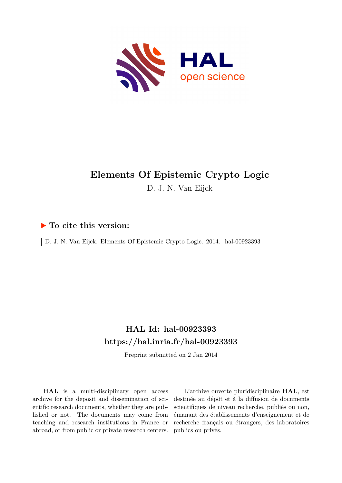

# **Elements Of Epistemic Crypto Logic** D. J. N. Van Eijck

#### **To cite this version:**

D. J. N. Van Eijck. Elements Of Epistemic Crypto Logic. 2014. hal-00923393

### **HAL Id: hal-00923393 <https://hal.inria.fr/hal-00923393>**

Preprint submitted on 2 Jan 2014

**HAL** is a multi-disciplinary open access archive for the deposit and dissemination of scientific research documents, whether they are published or not. The documents may come from teaching and research institutions in France or abroad, or from public or private research centers.

L'archive ouverte pluridisciplinaire **HAL**, est destinée au dépôt et à la diffusion de documents scientifiques de niveau recherche, publiés ou non, émanant des établissements d'enseignement et de recherche français ou étrangers, des laboratoires publics ou privés.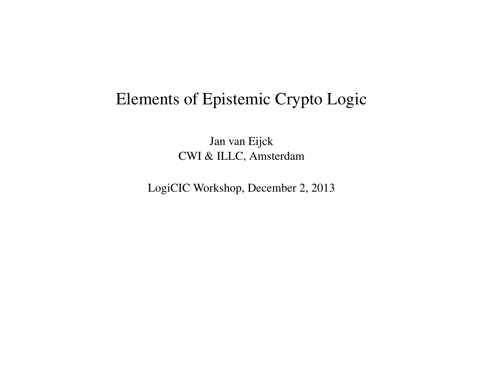# Elements of Epistemic Crypto Logic

Jan van Eijck CWI & ILLC, Amsterdam

LogiCIC Workshop, December 2, 2013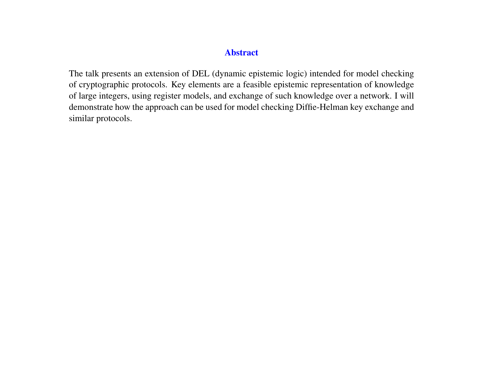#### Abstract

The talk presents an extension of DEL (dynamic epistemic logic) intended for model checking of cryptographic protocols. Key elements are a feasible epistemic representation of knowledge of large integers, using register models, and exchange of such knowledge over a network. I will demonstrate how the approach can be used for model checking Diffie-Helman key exchange and similar protocols.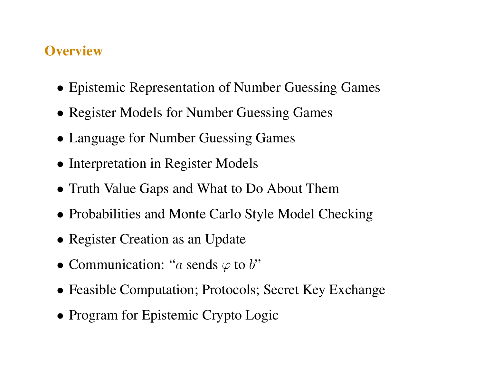### **Overview**

- Epistemic Representation of Number Guessing Games
- Register Models for Number Guessing Games
- Language for Number Guessing Games
- Interpretation in Register Models
- Truth Value Gaps and What to Do About Them
- Probabilities and Monte Carlo Style Model Checking
- Register Creation as an Update
- Communication: "a sends  $\varphi$  to b"
- Feasible Computation; Protocols; Secret Key Exchange
- Program for Epistemic Crypto Logic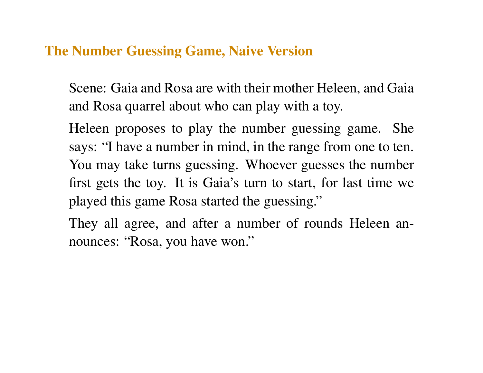#### The Number Guessing Game, Naive Version

Scene: Gaia and Rosa are with their mother Heleen, and Gaia and Rosa quarrel about who can play with a toy.

Heleen proposes to play the number guessing game. She says: "I have a number in mind, in the range from one to ten. You may take turns guessing. Whoever guesses the number first gets the toy. It is Gaia's turn to start, for last time we played this game Rosa started the guessing."

They all agree, and after a number of rounds Heleen announces: "Rosa, you have won."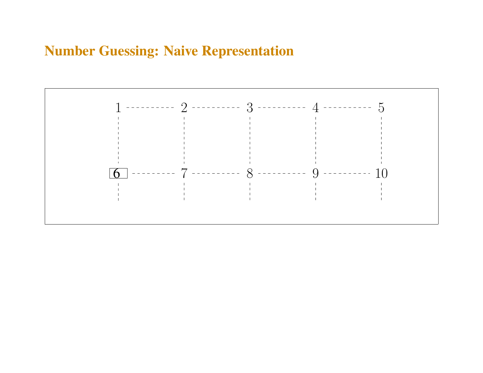### Number Guessing: Naive Representation

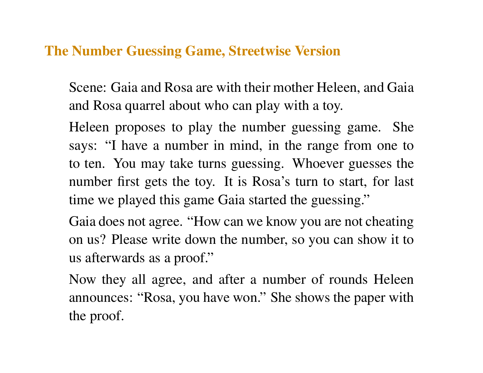#### The Number Guessing Game, Streetwise Version

Scene: Gaia and Rosa are with their mother Heleen, and Gaia and Rosa quarrel about who can play with a toy.

Heleen proposes to play the number guessing game. She says: "I have a number in mind, in the range from one to to ten. You may take turns guessing. Whoever guesses the number first gets the toy. It is Rosa's turn to start, for last time we played this game Gaia started the guessing."

Gaia does not agree. "How can we know you are not cheating on us? Please write down the number, so you can show it to us afterwards as a proof."

Now they all agree, and after a number of rounds Heleen announces: "Rosa, you have won." She shows the paper with the proof.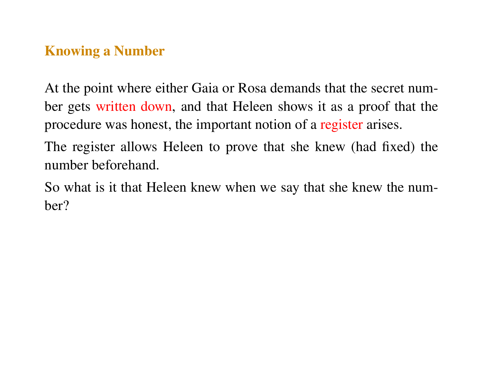### Knowing a Number

At the point where either Gaia or Rosa demands that the secret number gets written down, and that Heleen shows it as a proof that the procedure was honest, the important notion of a register arises.

The register allows Heleen to prove that she knew (had fixed) the number beforehand.

So what is it that Heleen knew when we say that she knew the number?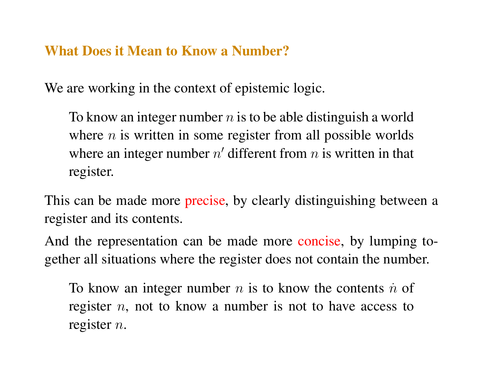#### What Does it Mean to Know a Number?

We are working in the context of epistemic logic.

To know an integer number  $n$  is to be able distinguish a world where  $n$  is written in some register from all possible worlds where an integer number  $n'$  different from  $n$  is written in that register.

This can be made more precise, by clearly distinguishing between a register and its contents.

And the representation can be made more concise, by lumping together all situations where the register does not contain the number.

To know an integer number  $n$  is to know the contents  $\dot{n}$  of register  $n$ , not to know a number is not to have access to register  $n$ .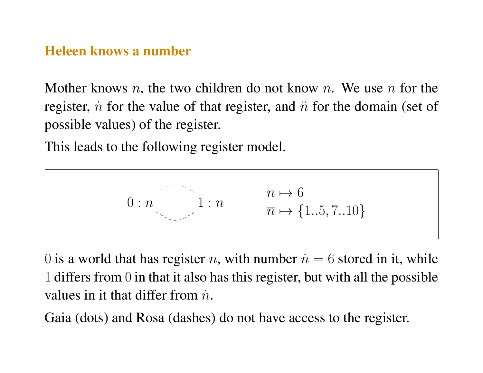#### Heleen knows a number

Mother knows n, the two children do not know n. We use n for the register, *n*<sup>for</sup> the value of that register, and  $\ddot{n}$  for the domain (set of possible values) of the register.

This leads to the following register model.

$$
0: n \qquad 1: \overline{n} \qquad \qquad \frac{n \mapsto 6}{\overline{n} \mapsto \{1..5, 7..10\}}
$$

0 is a world that has register *n*, with number  $\dot{n} = 6$  stored in it, while 1 differs from 0 in that it also has this register, but with all the possible values in it that differ from  $\dot{n}$ .

Gaia (dots) and Rosa (dashes) do not have access to the register.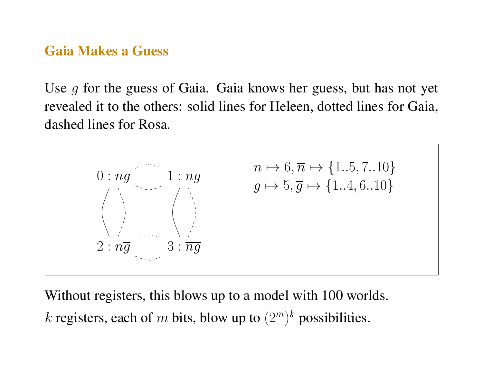#### Gaia Makes a Guess

Use g for the guess of Gaia. Gaia knows her guess, but has not yet revealed it to the others: solid lines for Heleen, dotted lines for Gaia, dashed lines for Rosa.



Without registers, this blows up to a model with 100 worlds.

k registers, each of m bits, blow up to  $(2^m)^k$  possibilities.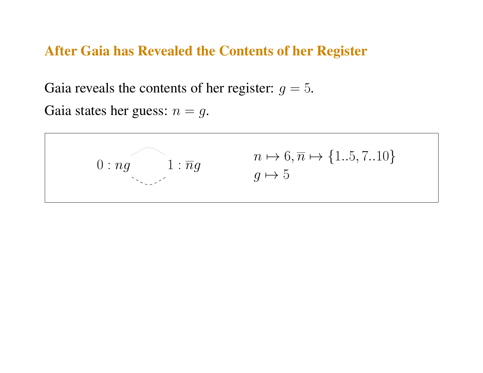#### After Gaia has Revealed the Contents of her Register

Gaia reveals the contents of her register:  $g = 5$ .

Gaia states her guess:  $n = q$ .

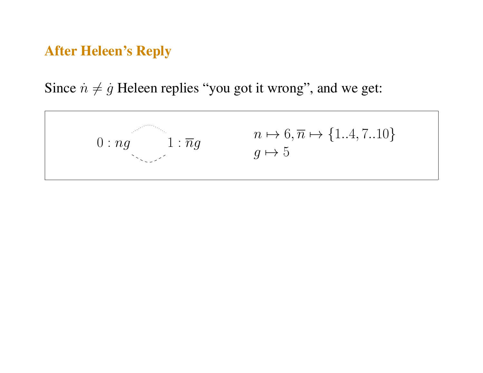#### After Heleen's Reply

Since  $\dot{n} \neq \dot{g}$  Heleen replies "you got it wrong", and we get:

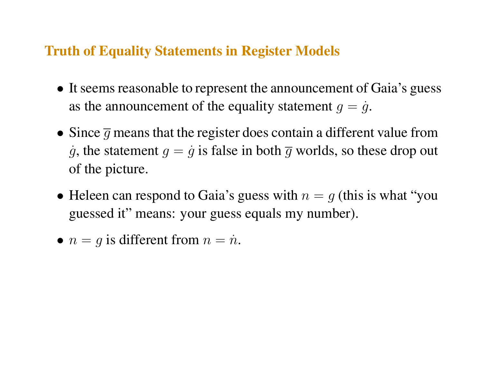#### Truth of Equality Statements in Register Models

- It seems reasonable to represent the announcement of Gaia's guess as the announcement of the equality statement  $q = \dot{q}$ .
- Since  $\overline{q}$  means that the register does contain a different value from  $\dot{q}$ , the statement  $q = \dot{q}$  is false in both  $\overline{q}$  worlds, so these drop out of the picture.
- Heleen can respond to Gaia's guess with  $n = g$  (this is what "you" guessed it" means: your guess equals my number).
- $n = q$  is different from  $n = \dot{n}$ .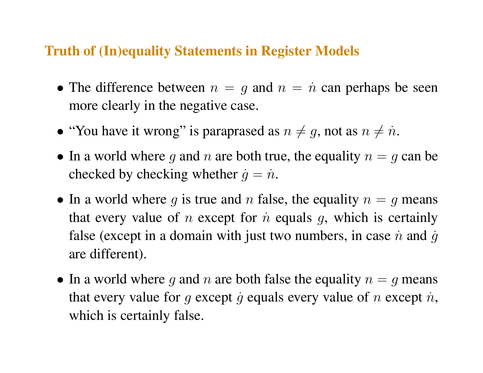#### Truth of (In)equality Statements in Register Models

- The difference between  $n = g$  and  $n = \dot{n}$  can perhaps be seen more clearly in the negative case.
- "You have it wrong" is paraprased as  $n \neq g$ , not as  $n \neq n$ .
- In a world where g and n are both true, the equality  $n = g$  can be checked by checking whether  $\dot{q} = \dot{n}$ .
- In a world where g is true and n false, the equality  $n = g$  means that every value of *n* except for  $\dot{n}$  equals  $g$ , which is certainly false (except in a domain with just two numbers, in case  $\dot{n}$  and  $\dot{g}$ are different).
- In a world where g and n are both false the equality  $n = g$  means that every value for g except g equals every value of n except  $\dot{n}$ , which is certainly false.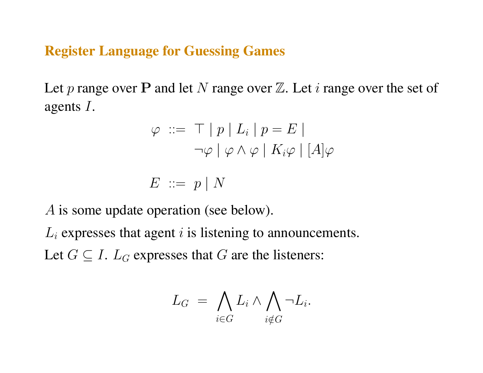Register Language for Guessing Games

Let p range over P and let N range over  $\mathbb Z$ . Let i range over the set of agents I.

$$
\varphi \ ::= \ \top \mid p \mid L_i \mid p = E \mid
$$
  
\n
$$
\neg \varphi \mid \varphi \land \varphi \mid K_i \varphi \mid [A] \varphi
$$

$$
E\ ::=\ p\mid N
$$

A is some update operation (see below).

 $L_i$  expresses that agent i is listening to announcements. Let  $G \subseteq I$ .  $L_G$  expresses that G are the listeners:

$$
L_G = \bigwedge_{i \in G} L_i \wedge \bigwedge_{i \notin G} \neg L_i.
$$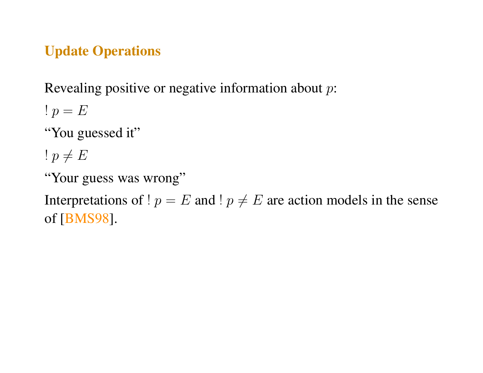## Update Operations

Revealing positive or negative information about p:

!  $p = E$ 

"You guessed it"

!  $p \neq E$ 

"Your guess was wrong"

Interpretations of !  $p = E$  and !  $p \neq E$  are action models in the sense of [BMS98].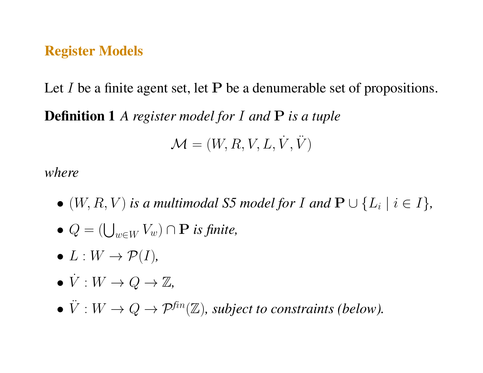#### Register Models

Let I be a finite agent set, let  $P$  be a denumerable set of propositions.

Definition 1 *A register model for* I *and* P *is a tuple*

$$
\mathcal{M} = (W,R,V,L,\dot{V},\ddot{V})
$$

*where*

- $\bullet$   $(W, R, V)$  is a multimodal S5 model for I and  $\mathbf{P} \cup \{L_i \mid i \in I\}$ ,
- $Q = (\bigcup_{w \in W} V_w) \cap \mathbf{P}$  *is finite*,
- $\bullet$   $L: W \rightarrow \mathcal{P}(I)$ ,
- $\bullet \, \dot{V}: W \to Q \to \mathbb{Z},$
- $\ddot{V}: W \to Q \to \mathcal{P}^{\text{fin}}(\mathbb{Z})$ , subject to constraints (below).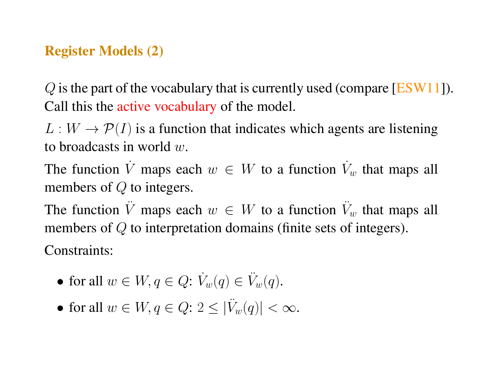### Register Models (2)

 $Q$  is the part of the vocabulary that is currently used (compare [ESW11]). Call this the active vocabulary of the model.

 $L: W \to \mathcal{P}(I)$  is a function that indicates which agents are listening to broadcasts in world  $w$ .

The function  $\dot{V}$  maps each  $w \in W$  to a function  $\dot{V}_w$  that maps all members of Q to integers.

The function  $\ddot{V}$  maps each  $w \in W$  to a function  $\ddot{V}_w$  that maps all members of Q to interpretation domains (finite sets of integers).

Constraints:

- for all  $w \in W, q \in Q$ :  $\dot{V}_w(q) \in \ddot{V}_w(q)$ .
- for all  $w \in W, q \in Q$ :  $2 \leq |\ddot{V}_w(q)| < \infty$ .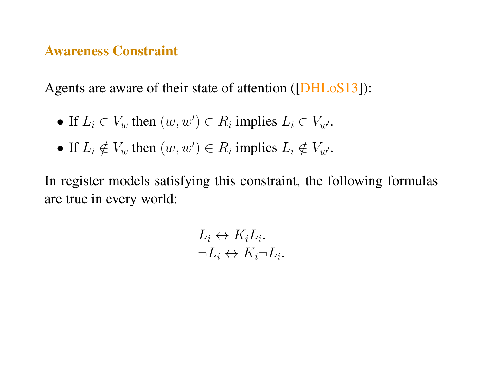#### Awareness Constraint

Agents are aware of their state of attention ([DHLoS13]):

- If  $L_i \in V_w$  then  $(w, w') \in R_i$  implies  $L_i \in V_{w'}$ .
- If  $L_i \notin V_w$  then  $(w, w') \in R_i$  implies  $L_i \notin V_{w'}$ .

In register models satisfying this constraint, the following formulas are true in every world:

$$
L_i \leftrightarrow K_i L_i.
$$
  

$$
\neg L_i \leftrightarrow K_i \neg L_i.
$$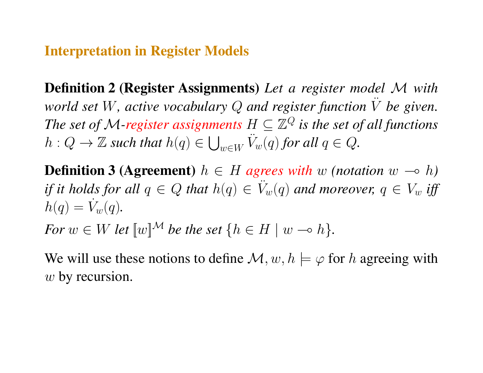#### Interpretation in Register Models

Definition 2 (Register Assignments) *Let a register model* M *with world set* W*, active vocabulary* Q *and register function* V¨ *be given.* The set of M-register assignments  $H\subseteq\mathbb{Z}^Q$  is the set of all functions  $h: Q \to \mathbb{Z}$  such that  $h(q) \in \bigcup_{w \in W} \ddot{V}_w(q)$  for all  $q \in Q$ .

**Definition 3 (Agreement)**  $h \in H$  agrees with w (notation  $w \to h$ ) *if it holds for all*  $q \in Q$  *that*  $h(q) \in V_w(q)$  *and moreover,*  $q \in V_w$  *iff*  $h(q) = \dot{V}_w(q)$ .

*For*  $w \in W$  *let*  $\llbracket w \rrbracket^{\mathcal{M}}$  *be the set*  $\{h \in H \mid w \multimap h\}.$ 

We will use these notions to define  $\mathcal{M}, w, h \models \varphi$  for h agreeing with w by recursion.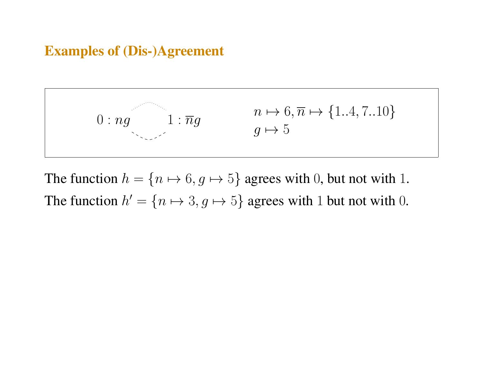### Examples of (Dis-)Agreement



The function  $h = \{n \mapsto 6, g \mapsto 5\}$  agrees with 0, but not with 1. The function  $h' = \{n \mapsto 3, g \mapsto 5\}$  agrees with 1 but not with 0.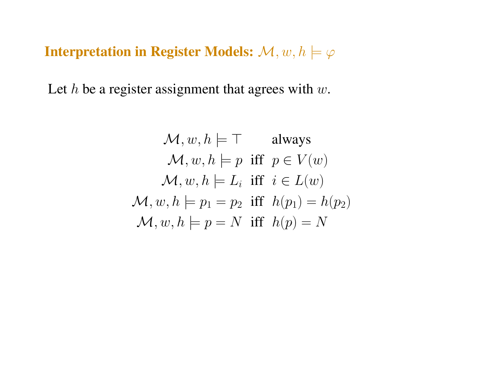Interpretation in Register Models:  $\mathcal{M}, w, h \models \varphi$ 

Let  $h$  be a register assignment that agrees with  $w$ .

$$
\mathcal{M}, w, h \models \top \quad \text{always}
$$
  

$$
\mathcal{M}, w, h \models p \text{ iff } p \in V(w)
$$
  

$$
\mathcal{M}, w, h \models L_i \text{ iff } i \in L(w)
$$
  

$$
\mathcal{M}, w, h \models p_1 = p_2 \text{ iff } h(p_1) = h(p_2)
$$
  

$$
\mathcal{M}, w, h \models p = N \text{ iff } h(p) = N
$$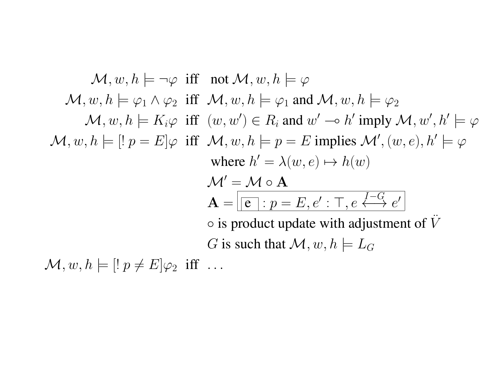$\mathcal{M}, w, h \models \neg \varphi$  iff not  $\mathcal{M}, w, h \models \varphi$  $\mathcal{M}, w, h \models \varphi_1 \land \varphi_2$  iff  $\mathcal{M}, w, h \models \varphi_1$  and  $\mathcal{M}, w, h \models \varphi_2$  $\mathcal{M}, w, h \models K_i \varphi$  iff  $(w, w') \in R_i$  and  $w' \multimap h'$  imply  $\mathcal{M}, w', h' \models \varphi$  $\mathcal{M}, w, h \models [P] \neq E] \varphi$  iff  $\mathcal{M}, w, h \models p = E$  implies  $\mathcal{M}', (w, e), h' \models \varphi$ where  $h' = \lambda(w, e) \mapsto h(w)$  $M' = M \circ A$  $\mathbf{A} = \fbox{$| \mathbf{e} |$} : p = E, e' : \mathsf{T}, e \stackrel{I-G}{\longleftrightarrow} e'$  $\circ$  is product update with adjustment of V G is such that  $\mathcal{M}, w, h \models L_G$ 

 $\mathcal{M}, w, h \models [! p \neq E] \varphi_2$  iff ...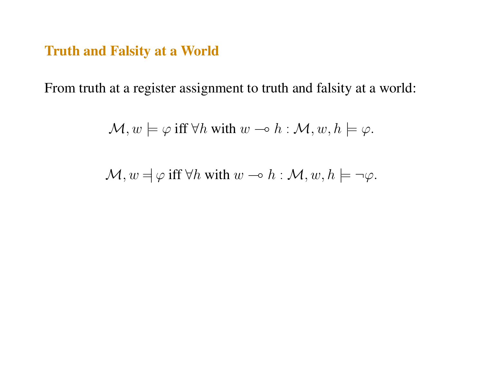### Truth and Falsity at a World

From truth at a register assignment to truth and falsity at a world:

$$
\mathcal{M}, w \models \varphi \text{ iff } \forall h \text{ with } w \multimap h : \mathcal{M}, w, h \models \varphi.
$$

$$
\mathcal{M}, w = \varphi \text{ iff } \forall h \text{ with } w \multimap h : \mathcal{M}, w, h \models \neg \varphi.
$$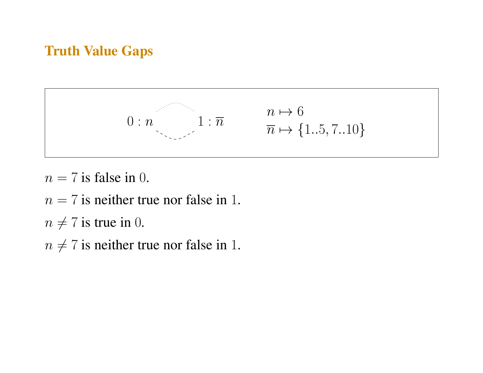# Truth Value Gaps



 $n = 7$  is false in 0.

 $n = 7$  is neither true nor false in 1.

 $n \neq 7$  is true in 0.

 $n \neq 7$  is neither true nor false in 1.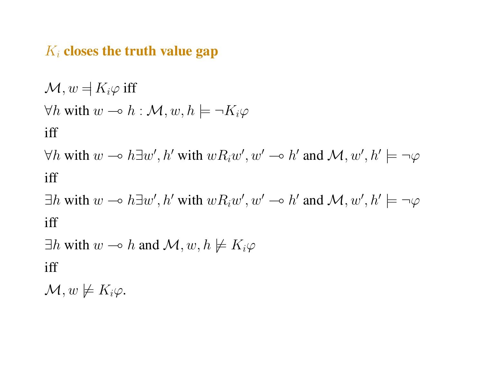#### $K_i$  closes the truth value gap

 $\mathcal{M}, w = K_i \varphi$  iff  $\forall h$  with  $w \multimap h : \mathcal{M}, w, h \models \neg K_i \varphi$ iff

 $\forall h$  with  $w \rightarrow h \exists w', h'$  with  $wR_iw', w' \rightarrow h'$  and  $\mathcal{M}, w', h' \models \neg \varphi$ iff

 $\exists h$  with  $w \rightarrow h \exists w', h'$  with  $wR_iw', w' \rightarrow h'$  and  $\mathcal{M}, w', h' \models \neg \varphi$ iff

 $\exists h$  with  $w \multimap h$  and  $\mathcal{M}, w, h \not\models K_i\varphi$ iff

 $\mathcal{M}, w \not\models K_i\varphi.$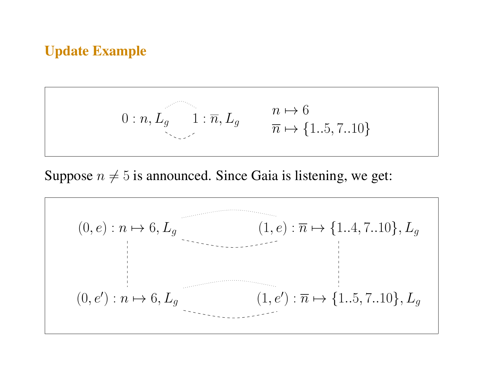### Update Example

$$
0: n, L_g \qquad 1: \overline{n}, L_g \qquad \frac{n \mapsto 6}{\overline{n} \mapsto \{1..5, 7..10\}}
$$

Suppose  $n \neq 5$  is announced. Since Gaia is listening, we get:

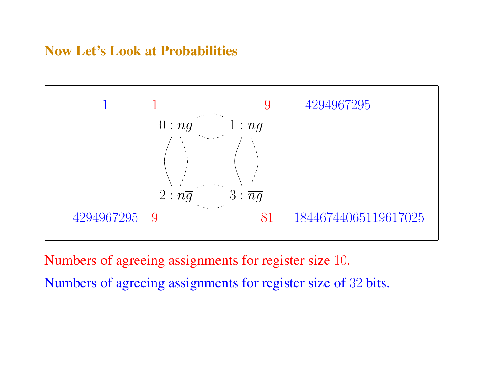### Now Let's Look at Probabilities



Numbers of agreeing assignments for register size 10. Numbers of agreeing assignments for register size of 32 bits.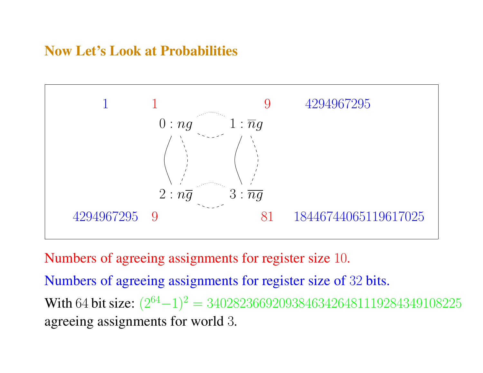## Now Let's Look at Probabilities



Numbers of agreeing assignments for register size 10.

Numbers of agreeing assignments for register size of 32 bits. With 64 bit size:  $(2^{64}-1)^2 = 340282366920938463426481119284349108225$ agreeing assignments for world 3.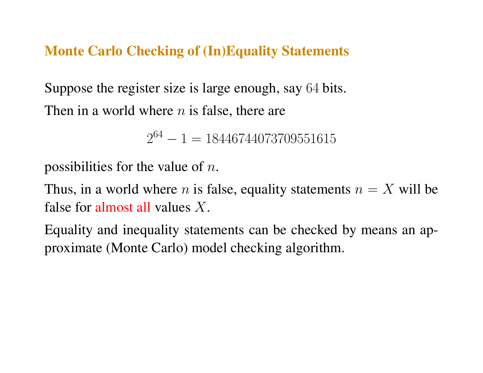### Monte Carlo Checking of (In)Equality Statements

Suppose the register size is large enough, say 64 bits. Then in a world where  $n$  is false, there are

 $2^{64} - 1 = 18446744073709551615$ 

possibilities for the value of  $n$ .

Thus, in a world where *n* is false, equality statements  $n = X$  will be false for almost all values X.

Equality and inequality statements can be checked by means an approximate (Monte Carlo) model checking algorithm.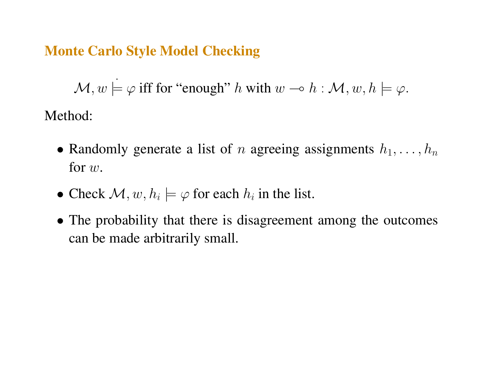### Monte Carlo Style Model Checking

 $\mathcal{M}, w \models \varphi$  iff for "enough" h with  $w \multimap h : \mathcal{M}, w, h \models \varphi$ .

Method:

- Randomly generate a list of n agreeing assignments  $h_1, \ldots, h_n$ for w.
- Check  $\mathcal{M}, w, h_i \models \varphi$  for each  $h_i$  in the list.
- The probability that there is disagreement among the outcomes can be made arbitrarily small.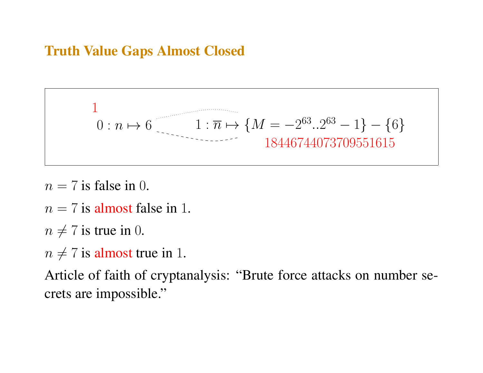## Truth Value Gaps Almost Closed

$$
0:n \mapsto 6 \qquad 1:\overline{n} \mapsto \{M = -2^{63}..2^{63} - 1\} - \{6\}
$$
  
18446744073709551615

- $n = 7$  is false in 0.
- $n = 7$  is almost false in 1.
- $n \neq 7$  is true in 0.
- $n \neq 7$  is almost true in 1.

Article of faith of cryptanalysis: "Brute force attacks on number secrets are impossible."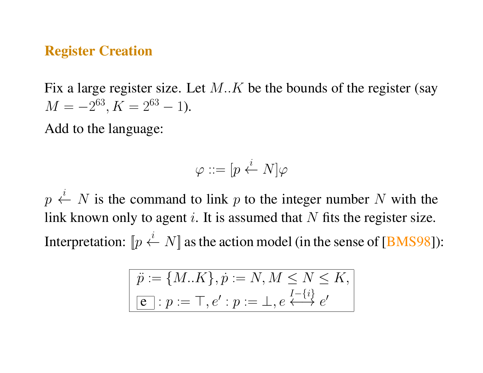#### Register Creation

Fix a large register size. Let  $M.K$  be the bounds of the register (say  $M = -2^{63}, K = 2^{63} - 1$ .

Add to the language:

$$
\varphi ::= [p \stackrel{i}{\leftarrow} N] \varphi
$$

 $p \stackrel{i}{\leftarrow} N$  is the command to link p to the integer number N with the link known only to agent i. It is assumed that  $N$  fits the register size. Interpretation:  $[p \stackrel{i}{\leftarrow} N]$  as the action model (in the sense of [BMS98]):

$$
\ddot{p} := \{M..K\}, \dot{p} := N, M \le N \le K,
$$
  

$$
\boxed{e} : p := \top, e' : p := \bot, e \stackrel{I - \{i\}}{\longleftrightarrow} e'
$$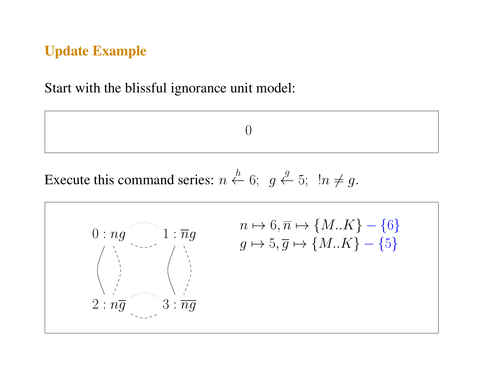### Update Example

Start with the blissful ignorance unit model:

0

Execute this command series:  $n \stackrel{h}{\leftarrow} 6$ ;  $g \stackrel{g}{\leftarrow} 5$ ;  $\ln \neq g$ .

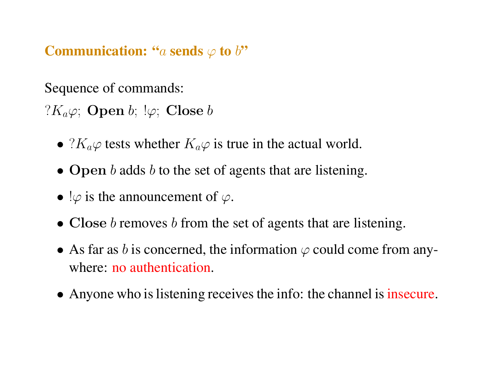**Communication:** "a sends  $\varphi$  to  $b$ "

Sequence of commands:

? $K_a\varphi$ ; Open b;  $\varphi$ ; Close b

- $?K_a\varphi$  tests whether  $K_a\varphi$  is true in the actual world.
- Open b adds b to the set of agents that are listening.
- $\varphi$  is the announcement of  $\varphi$ .
- Close b removes b from the set of agents that are listening.
- As far as b is concerned, the information  $\varphi$  could come from anywhere: no authentication.
- Anyone who is listening receives the info: the channel is insecure.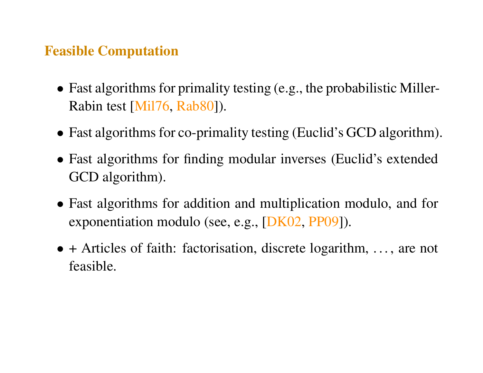#### Feasible Computation

- Fast algorithms for primality testing (e.g., the probabilistic Miller-Rabin test [Mil76, Rab80]).
- Fast algorithms for co-primality testing (Euclid's GCD algorithm).
- Fast algorithms for finding modular inverses (Euclid's extended GCD algorithm).
- Fast algorithms for addition and multiplication modulo, and for exponentiation modulo (see, e.g., [DK02, PP09]).
- + Articles of faith: factorisation, discrete logarithm, ..., are not feasible.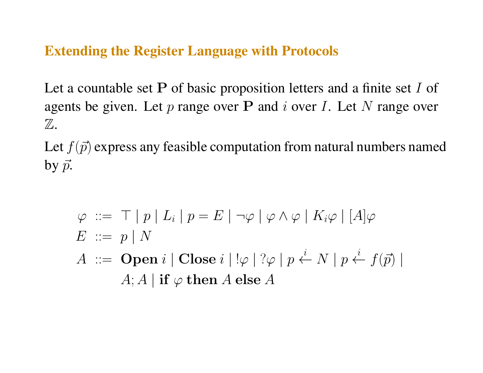#### Extending the Register Language with Protocols

Let a countable set  $P$  of basic proposition letters and a finite set  $I$  of agents be given. Let  $p$  range over P and  $i$  over I. Let  $N$  range over  $\mathbb Z.$ 

Let  $f(\vec{p})$  express any feasible computation from natural numbers named by  $\vec{p}$ .

$$
\varphi ::= \top | p | L_i | p = E | \neg \varphi | \varphi \land \varphi | K_i \varphi | [A] \varphi
$$
  
\n
$$
E ::= p | N
$$
  
\n
$$
A ::= \textbf{Open } i | \textbf{Close } i | ! \varphi | ? \varphi | p \stackrel{i}{\leftarrow} N | p \stackrel{i}{\leftarrow} f(\vec{p}) |
$$
  
\n
$$
A; A | \textbf{if } \varphi \textbf{ then } A \textbf{ else } A
$$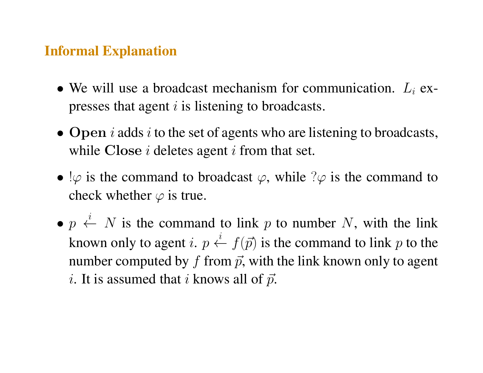#### Informal Explanation

- We will use a broadcast mechanism for communication.  $L_i$  expresses that agent  $i$  is listening to broadcasts.
- Open i adds i to the set of agents who are listening to broadcasts, while Close  $i$  deletes agent  $i$  from that set.
- $\varphi$  is the command to broadcast  $\varphi$ , while  $\varphi$  is the command to check whether  $\varphi$  is true.
- $p \stackrel{i}{\leftarrow} N$  is the command to link p to number N, with the link known only to agent i.  $p \stackrel{i}{\leftarrow} f(p)$  is the command to link p to the number computed by f from  $\vec{p}$ , with the link known only to agent *i*. It is assumed that *i* knows all of  $\vec{p}$ .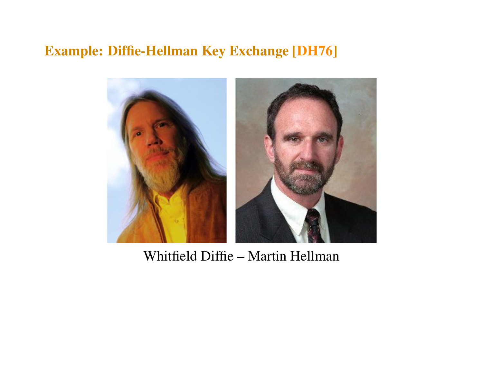# Example: Diffie-Hellman Key Exchange [DH76]



Whitfield Diffie – Martin Hellman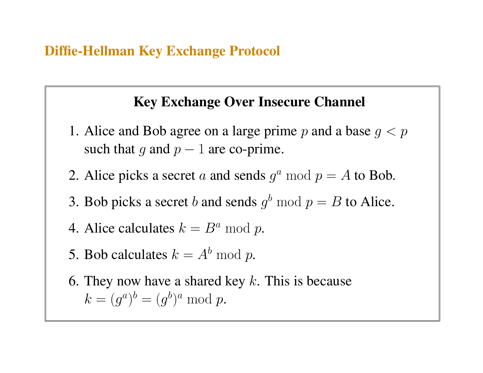#### Diffie-Hellman Key Exchange Protocol

### Key Exchange Over Insecure Channel

- 1. Alice and Bob agree on a large prime p and a base  $q < p$ such that q and  $p - 1$  are co-prime.
- 2. Alice picks a secret a and sends  $g^a \mod p = A$  to Bob.
- 3. Bob picks a secret b and sends  $g^b \bmod p = B$  to Alice.
- 4. Alice calculates  $k = B^a \mod p$ .
- 5. Bob calculates  $k = A^b \bmod p$ .
- 6. They now have a shared key  $k$ . This is because  $k = (g^a)^b = (g^b)^a \mod p.$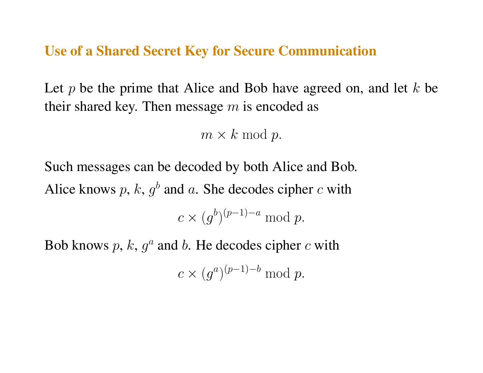Use of a Shared Secret Key for Secure Communication

Let p be the prime that Alice and Bob have agreed on, and let  $k$  be their shared key. Then message  $m$  is encoded as

 $m \times k \mod p$ .

Such messages can be decoded by both Alice and Bob. Alice knows p, k,  $g^b$  and a. She decodes cipher c with  $c \times (g^b)^{(p-1)-a} \mod p.$ 

Bob knows  $p, k, g<sup>a</sup>$  and b. He decodes cipher c with

 $c \times (g^a)^{(p-1)-b} \mod p.$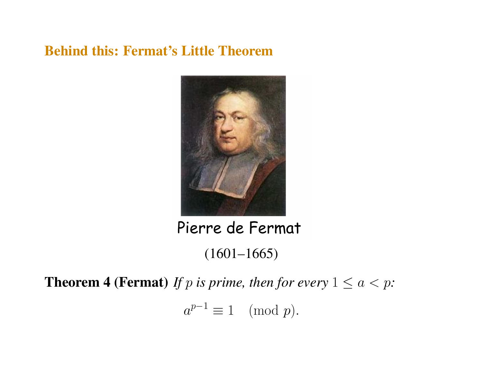### Behind this: Fermat's Little Theorem



Pierre de Fermat

(1601–1665)

**Theorem 4 (Fermat)** *If* p *is prime, then for every*  $1 \le a < p$ *:* 

 $a^{p-1} \equiv 1 \pmod{p}.$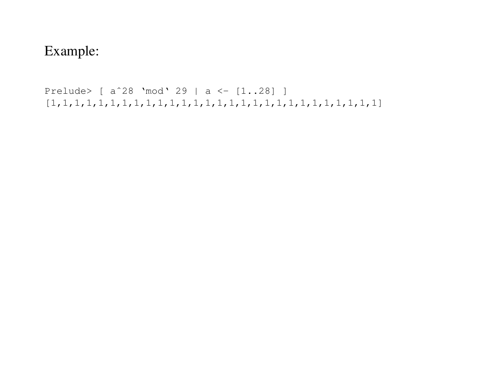# Example:

```
Prelude> [ aˆ28 'mod' 29 | a <- [1..28] ]
[1,1,1,1,1,1,1,1,1,1,1,1,1,1,1,1,1,1,1,1,1,1,1,1,1,1,1,1]
```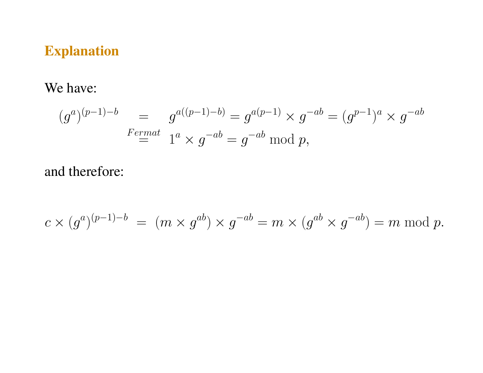# Explanation

We have:

$$
(g^{a})^{(p-1)-b} = g^{a((p-1)-b)} = g^{a(p-1)} \times g^{-ab} = (g^{p-1})^a \times g^{-ab}
$$
  
 
$$
F_{\substack{ermat} \ \ } 1^a \times g^{-ab} = g^{-ab} \bmod p,
$$

# and therefore:

$$
c \times (g^a)^{(p-1)-b} = (m \times g^{ab}) \times g^{-ab} = m \times (g^{ab} \times g^{-ab}) = m \bmod p.
$$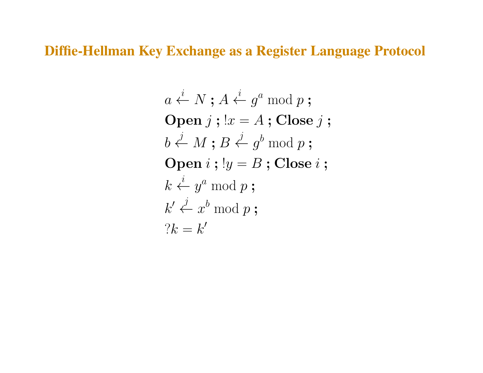Diffie-Hellman Key Exchange as a Register Language Protocol

$$
a \stackrel{i}{\leftarrow} N; A \stackrel{i}{\leftarrow} g^a \bmod p;
$$
  
\n**Open**  $j$ ; ! $x = A$ ; **Close**  $j$ ;  
\n $b \stackrel{j}{\leftarrow} M; B \stackrel{j}{\leftarrow} g^b \bmod p;$   
\n**Open**  $i$ ; ! $y = B$ ; **Close**  $i$ ;  
\n $k \stackrel{i}{\leftarrow} y^a \bmod p;$   
\n $k' \stackrel{j}{\leftarrow} x^b \bmod p;$   
\n? $k = k'$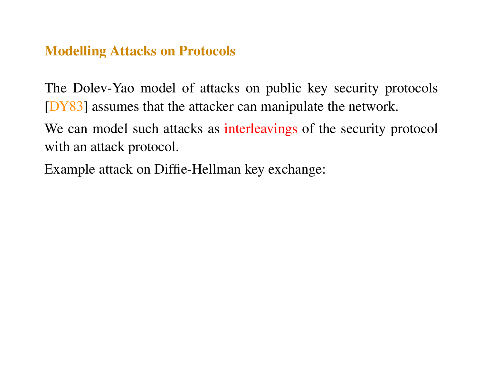### Modelling Attacks on Protocols

The Dolev-Yao model of attacks on public key security protocols [DY83] assumes that the attacker can manipulate the network.

We can model such attacks as interleavings of the security protocol with an attack protocol.

Example attack on Diffie-Hellman key exchange: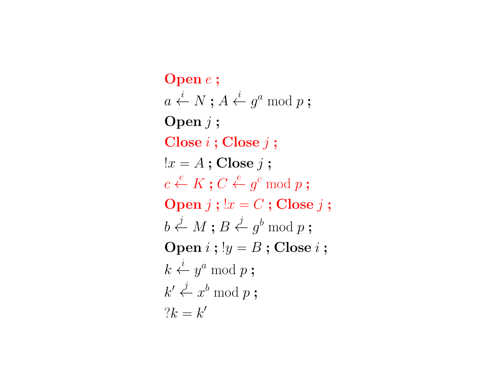Open e ;  $a\overset{i}{\leftarrow}N\mathbin{;} A\overset{i}{\leftarrow}g^a \bmod p\mathbin{;}$ Open  $i$ ;  $Close i$ ;  $Close i$ ;  $!x = A$ ; Close j;  $c \stackrel{e}{\leftarrow} K$  ;  $C \stackrel{e}{\leftarrow} g^c \bmod p$  ; Open  $j$ ;  $x = C$ ; Close  $j$ ;  $b \stackrel{j}{\leftarrow} M \mathrel{;} B \stackrel{j}{\leftarrow} g^b \bmod p$  ; Open  $i$ ;  $!y = B$ ; Close  $i$ ;  $k \stackrel{i}{\leftarrow} y^a \bmod p$  ;  $k' \overset{j}{\leftarrow} x^b \bmod p$  ;  $?k = k'$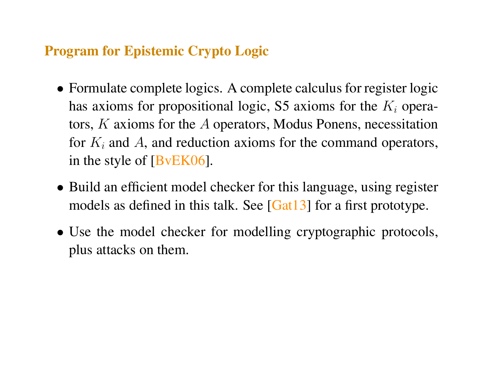### Program for Epistemic Crypto Logic

- Formulate complete logics. A complete calculus for register logic has axioms for propositional logic, S5 axioms for the  $K_i$  operators, K axioms for the A operators, Modus Ponens, necessitation for  $K_i$  and A, and reduction axioms for the command operators, in the style of [BvEK06].
- Build an efficient model checker for this language, using register models as defined in this talk. See [Gat13] for a first prototype.
- Use the model checker for modelling cryptographic protocols, plus attacks on them.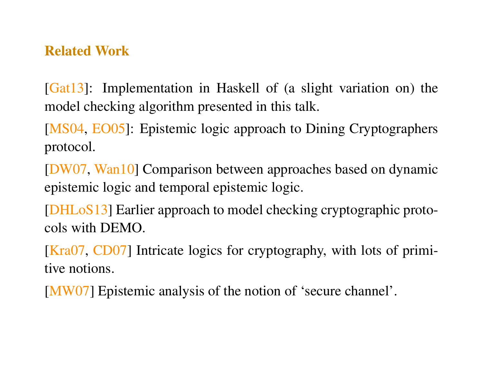### Related Work

[Gat13]: Implementation in Haskell of (a slight variation on) the model checking algorithm presented in this talk.

[MS04, EO05]: Epistemic logic approach to Dining Cryptographers protocol.

[DW07, Wan10] Comparison between approaches based on dynamic epistemic logic and temporal epistemic logic.

[DHLoS13] Earlier approach to model checking cryptographic protocols with DEMO.

[Kra07, CD07] Intricate logics for cryptography, with lots of primitive notions.

[MW07] Epistemic analysis of the notion of 'secure channel'.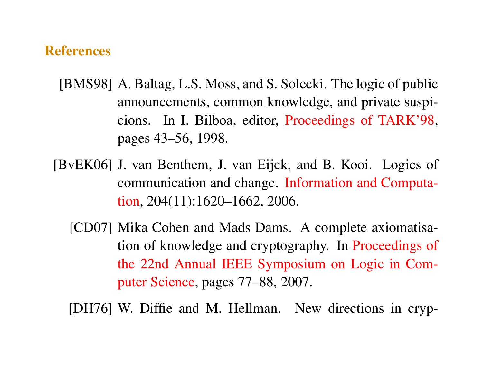#### **References**

- [BMS98] A. Baltag, L.S. Moss, and S. Solecki. The logic of public announcements, common knowledge, and private suspicions. In I. Bilboa, editor, Proceedings of TARK'98, pages 43–56, 1998.
- [BvEK06] J. van Benthem, J. van Eijck, and B. Kooi. Logics of communication and change. Information and Computation, 204(11):1620–1662, 2006.
	- [CD07] Mika Cohen and Mads Dams. A complete axiomatisation of knowledge and cryptography. In Proceedings of the 22nd Annual IEEE Symposium on Logic in Computer Science, pages 77–88, 2007.

[DH76] W. Diffie and M. Hellman. New directions in cryp-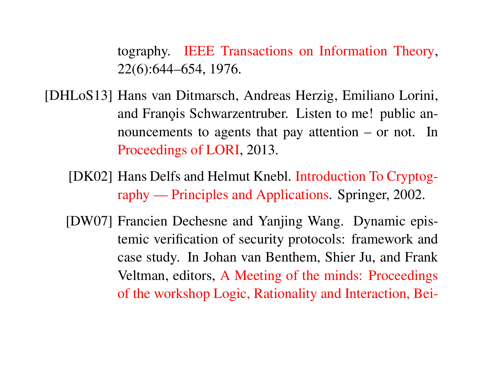tography. IEEE Transactions on Information Theory, 22(6):644–654, 1976.

- [DHLoS13] Hans van Ditmarsch, Andreas Herzig, Emiliano Lorini, and Franois Schwarzentruber. Listen to me! public announcements to agents that pay attention – or not. In Proceedings of LORI, 2013.
	- [DK02] Hans Delfs and Helmut Knebl. Introduction To Cryptography — Principles and Applications. Springer, 2002.
	- [DW07] Francien Dechesne and Yanjing Wang. Dynamic epistemic verification of security protocols: framework and case study. In Johan van Benthem, Shier Ju, and Frank Veltman, editors, A Meeting of the minds: Proceedings of the workshop Logic, Rationality and Interaction, Bei-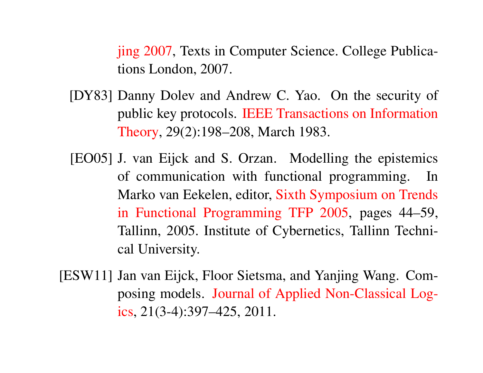jing 2007, Texts in Computer Science. College Publications London, 2007.

- [DY83] Danny Dolev and Andrew C. Yao. On the security of public key protocols. IEEE Transactions on Information Theory, 29(2):198–208, March 1983.
- [EO05] J. van Eijck and S. Orzan. Modelling the epistemics of communication with functional programming. In Marko van Eekelen, editor, Sixth Symposium on Trends in Functional Programming TFP 2005, pages 44–59, Tallinn, 2005. Institute of Cybernetics, Tallinn Technical University.
- [ESW11] Jan van Eijck, Floor Sietsma, and Yanjing Wang. Composing models. Journal of Applied Non-Classical Logics, 21(3-4):397–425, 2011.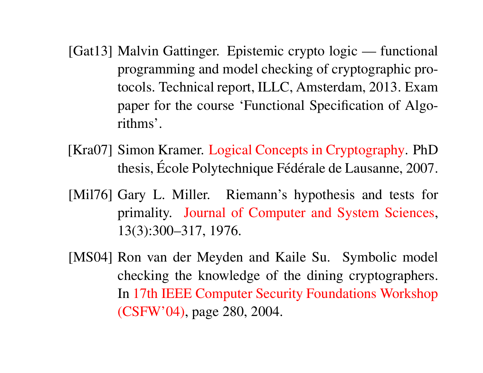- [Gat13] Malvin Gattinger. Epistemic crypto logic functional programming and model checking of cryptographic protocols. Technical report, ILLC, Amsterdam, 2013. Exam paper for the course 'Functional Specification of Algorithms'.
- [Kra07] Simon Kramer. Logical Concepts in Cryptography. PhD thesis, École Polytechnique Fédérale de Lausanne, 2007.
- [Mil76] Gary L. Miller. Riemann's hypothesis and tests for primality. Journal of Computer and System Sciences, 13(3):300–317, 1976.
- [MS04] Ron van der Meyden and Kaile Su. Symbolic model checking the knowledge of the dining cryptographers. In 17th IEEE Computer Security Foundations Workshop (CSFW'04), page 280, 2004.